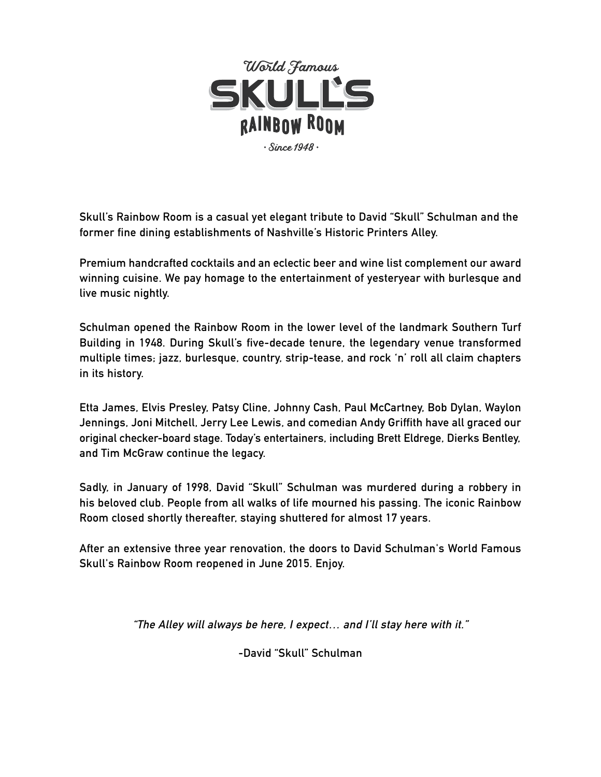

**Skull's Rainbow Room is a casual yet elegant tribute to David "Skull" Schulman and the former fine dining establishments of Nashville's Historic Printers Alley.**

**Premium handcrafted cocktails and an eclectic beer and wine list complement our award winning cuisine. We pay homage to the entertainment of yesteryear with burlesque and live music nightly.**

**Schulman opened the Rainbow Room in the lower level of the landmark Southern Turf Building in 1948. During Skull's five-decade tenure, the legendary venue transformed multiple times; jazz, burlesque, country, strip-tease, and rock 'n' roll all claim chapters in its history.**

**Etta James, Elvis Presley, Patsy Cline, Johnny Cash, Paul McCartney, Bob Dylan, Waylon Jennings, Joni Mitchell, Jerry Lee Lewis, and comedian Andy Griffith have all graced our original checker-board stage. Today's entertainers, including Brett Eldrege, Dierks Bentley, and Tim McGraw continue the legacy.**

**Sadly, in January of 1998, David "Skull" Schulman was murdered during a robbery in his beloved club. People from all walks of life mourned his passing. The iconic Rainbow Room closed shortly thereafter, staying shuttered for almost 17 years.** 

**After an extensive three year renovation, the doors to David Schulman's World Famous Skull's Rainbow Room reopened in June 2015. Enjoy.**

**"The Alley will always be here, I expect… and I'll stay here with it."**

**-David "Skull" Schulman**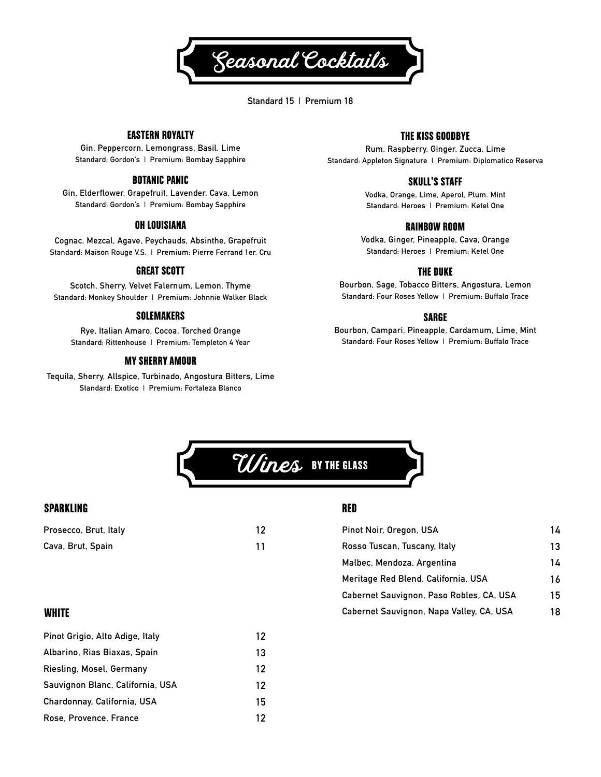

**Standard 15 | Premium 18**

## EASTERN ROYALTY

**Gin, Peppercorn, Lemongrass, Basil, Lime Standard: Gordon's | Premium: Bombay Sapphire**

## BOTANIC PANIC

**Gin, Elderflower, Grapefruit, Lavender, Cava, Lemon Standard: Gordon's | Premium: Bombay Sapphire**

## OH LOUISIANA

**Cognac, Mezcal, Agave, Peychauds, Absinthe, Grapefruit Standard: Maison Rouge V.S. | Premium: Pierre Ferrand 1er. Cru**

### GREAT SCOTT

**Scotch, Sherry, Velvet Falernum, Lemon, Thyme Standard: Monkey Shoulder | Premium: Johnnie Walker Black**

#### SOLEMAKERS

**Rye, Italian Amaro, Cocoa, Torched Orange Standard: Rittenhouse | Premium: Templeton 4 Year**

## MY SHERRY AMOUR

**Tequila, Sherry, Allspice, Turbinado, Angostura Bitters, Lime Standard: Exotico | Premium: Fortaleza Blanco**

## THE KISS GOODBYE

**Rum, Raspberry, Ginger, Zucca, Lime Standard: Appleton Signature | Premium: Diplomatico Reserva**

### SKULL'S STAFF

**Vodka, Orange, Lime, Aperol, Plum. Mint Standard: Heroes | Premium: Ketel One**

### RAINBOW ROOM

**Vodka, Ginger, Pineapple, Cava, Orange Standard: Heroes | Premium: Ketel One**

#### THE DUKE

**Bourbon, Sage, Tobacco Bitters, Angostura, Lemon Standard: Four Roses Yellow | Premium: Buffalo Trace**

### SARGE

**Bourbon, Campari, Pineapple, Cardamum, Lime, Mint Standard: Four Roses Yellow | Premium: Buffalo Trace**



## SPARKLING

| Prosecco, Brut, Italy | 12 |
|-----------------------|----|
| Cava, Brut, Spain     |    |

## RED

| Pinot Noir, Oregon, USA                  | 14 |
|------------------------------------------|----|
| Rosso Tuscan, Tuscany, Italy             | 13 |
| Malbec, Mendoza, Argentina               | 14 |
| Meritage Red Blend, California, USA      | 16 |
| Cabernet Sauvignon, Paso Robles, CA, USA | 15 |
| Cabernet Sauvignon, Napa Valley, CA, USA | 18 |

## **WHITE**

| Pinot Grigio, Alto Adige, Italy  | 12 |
|----------------------------------|----|
| Albarino, Rias Biaxas, Spain     | 13 |
| Riesling, Mosel, Germany         | 12 |
| Sauvignon Blanc, California, USA | 12 |
| Chardonnay, California, USA      | 15 |
| Rose, Provence, France           | 12 |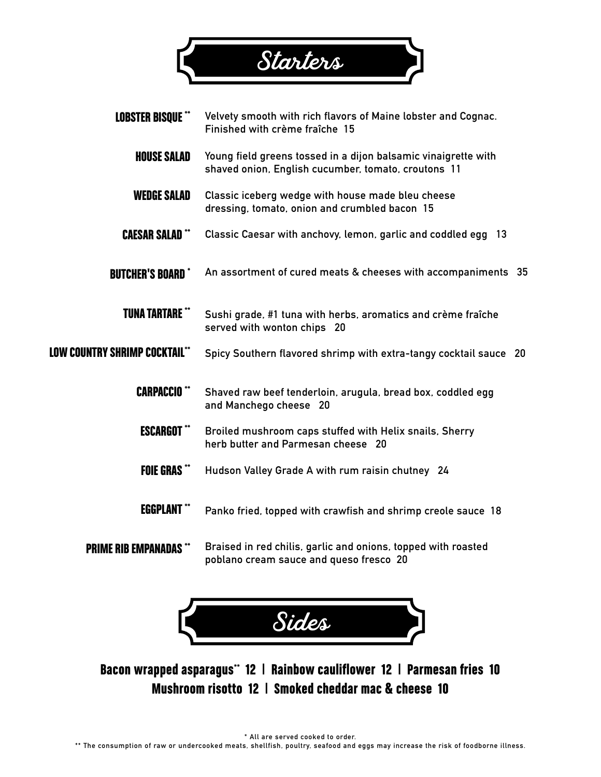

| <b>LOBSTER BISQUE **</b>             | Velvety smooth with rich flavors of Maine lobster and Cognac.<br>Finished with crème fraîche 15                       |
|--------------------------------------|-----------------------------------------------------------------------------------------------------------------------|
| <b>HOUSE SALAD</b>                   | Young field greens tossed in a dijon balsamic vinaigrette with<br>shaved onion, English cucumber, tomato, croutons 11 |
| <b>WEDGE SALAD</b>                   | Classic iceberg wedge with house made bleu cheese<br>dressing, tomato, onion and crumbled bacon 15                    |
| <b>CAESAR SALAD**</b>                | Classic Caesar with anchovy, lemon, garlic and coddled egg 13                                                         |
| <b>BUTCHER'S BOARD*</b>              | An assortment of cured meats & cheeses with accompaniments 35                                                         |
| <b>TUNA TARTARE **</b>               | Sushi grade, #1 tuna with herbs, aromatics and crème fraîche<br>served with wonton chips 20                           |
| <b>LOW COUNTRY SHRIMP COCKTAIL**</b> | Spicy Southern flavored shrimp with extra-tangy cocktail sauce 20                                                     |
| <b>CARPACCIO</b> **                  | Shaved raw beef tenderloin, arugula, bread box, coddled egg<br>and Manchego cheese 20                                 |
| <b>ESCARGOT</b>                      | Broiled mushroom caps stuffed with Helix snails, Sherry<br>herb butter and Parmesan cheese 20                         |
| <b>FOIE GRAS</b> **                  | Hudson Valley Grade A with rum raisin chutney 24                                                                      |
| <b>EGGPLANT</b>                      | Panko fried, topped with crawfish and shrimp creole sauce 18                                                          |

PRIME RIB EMPANADAS \*\* **Braised in red chilis, garlic and onions, topped with roasted poblano cream sauce and queso fresco 20**



Bacon wrapped asparagus\*\* 12 | Rainbow cauliflower 12 | Parmesan fries 10 Mushroom risotto 12 | Smoked cheddar mac & cheese 10

**\* All are served cooked to order.**